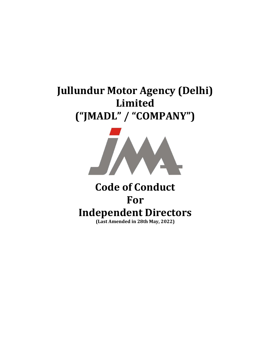# Jullundur Motor Agency (Delhi) Limited ("JMADL" / "COMPANY")



## Code of Conduct For Independent Directors (Last Amended in 28th May, 2022)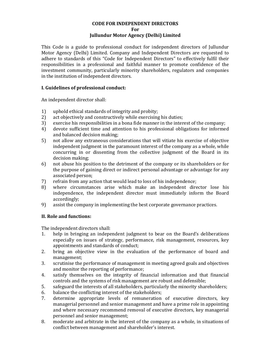### CODE FOR INDEPENDENT DIRECTORS

For

#### Jullundur Motor Agency (Delhi) Limited

This Code is a guide to professional conduct for independent directors of Jullundur Motor Agency (Delhi) Limited. Company and Independent Directors are requested to adhere to standards of this "Code for Independent Directors" to effectively fulfil their responsibilities in a professional and faithful manner to promote confidence of the investment community, particularly minority shareholders, regulators and companies in the institution of independent directors.

#### I. Guidelines of professional conduct:

An independent director shall:

- 1) uphold ethical standards of integrity and probity;
- 2) act objectively and constructively while exercising his duties;
- 3) exercise his responsibilities in a bona fide manner in the interest of the company;
- 4) devote sufficient time and attention to his professional obligations for informed and balanced decision making;
- 5) not allow any extraneous considerations that will vitiate his exercise of objective independent judgment in the paramount interest of the company as a whole, while concurring in or dissenting from the collective judgment of the Board in its decision making;
- 6) not abuse his position to the detriment of the company or its shareholders or for the purpose of gaining direct or indirect personal advantage or advantage for any associated person;
- 7) refrain from any action that would lead to loss of his independence;
- 8) where circumstances arise which make an independent director lose his independence, the independent director must immediately inform the Board accordingly;
- 9) assist the company in implementing the best corporate governance practices.

#### II. Role and functions:

The independent directors shall:

- 1. help in bringing an independent judgment to bear on the Board's deliberations especially on issues of strategy, performance, risk management, resources, key appointments and standards of conduct;
- 2. bring an objective view in the evaluation of the performance of board and management;
- 3. scrutinise the performance of management in meeting agreed goals and objectives and monitor the reporting of performance;
- 4. satisfy themselves on the integrity of financial information and that financial controls and the systems of risk management are robust and defensible;
- 5. safeguard the interests of all stakeholders, particularly the minority shareholders;
- 6. balance the conflicting interest of the stakeholders;
- 7. determine appropriate levels of remuneration of executive directors, key managerial personnel and senior management and have a prime role in appointing and where necessary recommend removal of executive directors, key managerial personnel and senior management;
- 8. moderate and arbitrate in the interest of the company as a whole, in situations of conflict between management and shareholder's interest.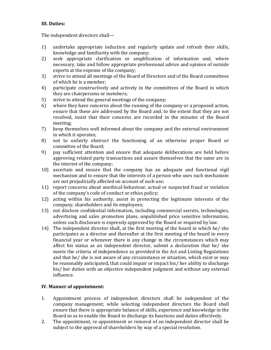#### III. Duties:

The independent directors shall—

- 1) undertake appropriate induction and regularly update and refresh their skills, knowledge and familiarity with the company;
- 2) seek appropriate clarification or amplification of information and, where necessary, take and follow appropriate professional advice and opinion of outside experts at the expense of the company;
- 3) strive to attend all meetings of the Board of Directors and of the Board committees of which he is a member;
- 4) participate constructively and actively in the committees of the Board in which they are chairpersons or members;
- 5) strive to attend the general meetings of the company;
- 6) where they have concerns about the running of the company or a proposed action, ensure that these are addressed by the Board and, to the extent that they are not resolved, insist that their concerns are recorded in the minutes of the Board meeting;
- 7) keep themselves well informed about the company and the external environment in which it operates;
- 8) not to unfairly obstruct the functioning of an otherwise proper Board or committee of the Board;
- 9) pay sufficient attention and ensure that adequate deliberations are held before approving related party transactions and assure themselves that the same are in the interest of the company;
- 10) ascertain and ensure that the company has an adequate and functional vigil mechanism and to ensure that the interests of a person who uses such mechanism are not prejudicially affected on account of such use;
- 11) report concerns about unethical behaviour, actual or suspected fraud or violation of the company's code of conduct or ethics policy;
- 12) acting within his authority, assist in protecting the legitimate interests of the company, shareholders and its employees;
- 13) not disclose confidential information, including commercial secrets, technologies, advertising and sales promotion plans, unpublished price sensitive information, unless such disclosure is expressly approved by the Board or required by law.
- 14) The independent director shall, at the first meeting of the board in which he/ she participates as a director and thereafter at the first meeting of the board in every financial year or whenever there is any change in the circumstances which may affect his status as an independent director, submit a declaration that he/ she meets the criteria of independence as provided in the Act and Listing Regulations and that he/ she is not aware of any circumstance or situation, which exist or may be reasonably anticipated, that could impair or impact his/ her ability to discharge his/ her duties with an objective independent judgment and without any external influence.

#### IV. Manner of appointment:

- 1. Appointment process of independent directors shall be independent of the company management; while selecting independent directors the Board shall ensure that there is appropriate balance of skills, experience and knowledge in the Board so as to enable the Board to discharge its functions and duties effectively.
- 2. The appointment, re-appointment or removal of an independent director shall be subject to the approval of shareholders by way of a special resolution.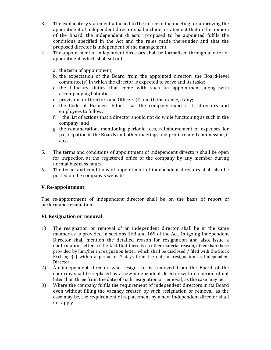- 3. The explanatory statement attached to the notice of the meeting for approving the appointment of independent director shall include a statement that in the opinion of the Board, the independent director proposed to be appointed fulfils the conditions specified in the Act and the rules made thereunder and that the proposed director is independent of the management.
- 4. The appointment of independent directors shall be formalised through a letter of appointment, which shall set out:
	- a. the term of appointment;
	- b. the expectation of the Board from the appointed director; the Board-level committee(s) in which the director is expected to serve and its tasks;
	- c. the fiduciary duties that come with such an appointment along with accompanying liabilities;
	- d. provision for Directors and Officers (D and O) insurance, if any;
	- e. the Code of Business Ethics that the company expects its directors and employees to follow;
	- f. the list of actions that a director should not do while functioning as such in the company; and
	- g. the remuneration, mentioning periodic fees, reimbursement of expenses for participation in the Boards and other meetings and profit related commission, if any.
- 5. The terms and conditions of appointment of independent directors shall be open for inspection at the registered office of the company by any member during normal business hours.
- 6. The terms and conditions of appointment of independent directors shall also be posted on the company's website.

#### V. Re-appointment:

The re-appointment of independent director shall be on the basis of report of performance evaluation.

#### VI. Resignation or removal:

- 1) The resignation or removal of an independent director shall be in the same manner as is provided in sections 168 and 169 of the Act. Outgoing Independent Director shall mention the detailed reason for resignation and also, issue a confirmation letter to the fact that there is no other material reason, other than those provided by him/her in resignation letter, which shall be disclosed / filed with the Stock Exchange(s) within a period of  $7$  days from the date of resignation as Independent Director.
- 2) An independent director who resigns or is removed from the Board of the company shall be replaced by a new independent director within a period of not later than three from the date of such resignation or removal, as the case may be.
- 3) Where the company fulfils the requirement of independent directors in its Board even without filling the vacancy created by such resignation or removal, as the case may be, the requirement of replacement by a new independent director shall not apply.